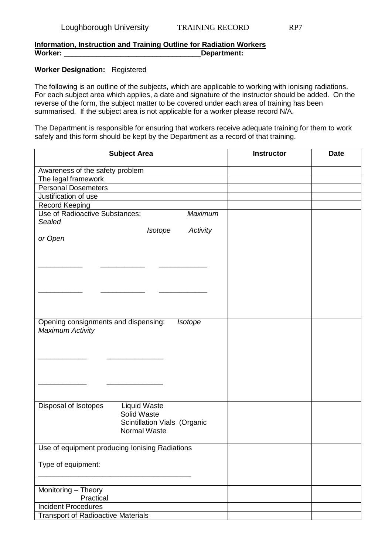## **Information, Instruction and Training Outline for Radiation Workers Worker:** \_\_\_\_\_\_\_\_\_\_\_\_\_\_\_\_\_\_\_\_\_\_\_\_\_\_\_\_\_\_\_\_\_\_**Department:**

## **Worker Designation:** Registered

The following is an outline of the subjects, which are applicable to working with ionising radiations. For each subject area which applies, a date and signature of the instructor should be added. On the reverse of the form, the subject matter to be covered under each area of training has been summarised. If the subject area is not applicable for a worker please record N/A.

The Department is responsible for ensuring that workers receive adequate training for them to work safely and this form should be kept by the Department as a record of that training.

| <b>Subject Area</b>                                                                                               | <b>Instructor</b> | <b>Date</b> |
|-------------------------------------------------------------------------------------------------------------------|-------------------|-------------|
| Awareness of the safety problem                                                                                   |                   |             |
| The legal framework                                                                                               |                   |             |
| <b>Personal Dosemeters</b>                                                                                        |                   |             |
| Justification of use                                                                                              |                   |             |
| <b>Record Keeping</b>                                                                                             |                   |             |
| <b>Use of Radioactive Substances:</b><br><b>Maximum</b>                                                           |                   |             |
| Sealed                                                                                                            |                   |             |
| Isotope<br>Activity                                                                                               |                   |             |
| or Open                                                                                                           |                   |             |
|                                                                                                                   |                   |             |
|                                                                                                                   |                   |             |
|                                                                                                                   |                   |             |
|                                                                                                                   |                   |             |
|                                                                                                                   |                   |             |
|                                                                                                                   |                   |             |
|                                                                                                                   |                   |             |
|                                                                                                                   |                   |             |
| Opening consignments and dispensing:<br>Isotope<br><b>Maximum Activity</b>                                        |                   |             |
| Disposal of Isotopes<br><b>Liquid Waste</b><br>Solid Waste<br>Scintillation Vials (Organic<br><b>Normal Waste</b> |                   |             |
| Use of equipment producing lonising Radiations                                                                    |                   |             |
|                                                                                                                   |                   |             |
| Type of equipment:                                                                                                |                   |             |
|                                                                                                                   |                   |             |
| Monitoring - Theory                                                                                               |                   |             |
| Practical                                                                                                         |                   |             |
| <b>Incident Procedures</b>                                                                                        |                   |             |
| <b>Transport of Radioactive Materials</b>                                                                         |                   |             |